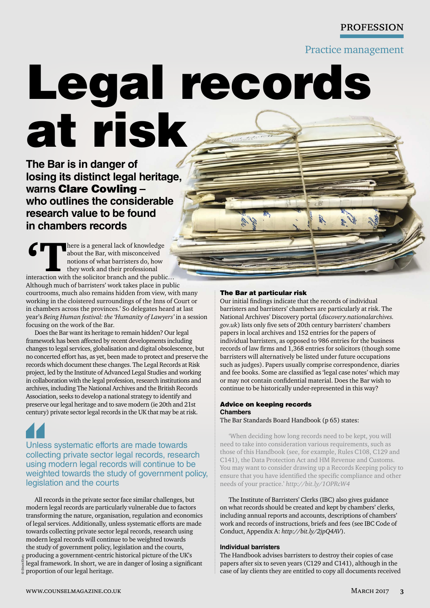## **PROFESSION**

Practice management

# Legal records at risk

**The Bar is in danger of losing its distinct legal heritage, warns** Clare Cowling **– who outlines the considerable research value to be found in chambers records**

For the same is a general lack of knowledge<br>
about the Bar, with misconceived<br>
notions of what barristers do, how<br>
they work and their professional<br>
interaction with the solicitor branch and the public… about the Bar, with misconceived notions of what barristers do, how they work and their professional Although much of barristers' work takes place in public courtrooms, much also remains hidden from view, with many working in the cloistered surroundings of the Inns of Court or in chambers across the provinces.' So delegates heard at last year's *Being Human festival: the 'Humanity of Lawyers'* in a session focusing on the work of the Bar*.* 

Does the Bar want its heritage to remain hidden? Our legal framework has been affected by recent developments including changes to legal services, globalisation and digital obsolescence, but no concerted effort has, as yet, been made to protect and preserve the records which document these changes. The Legal Records at Risk project, led by the Institute of Advanced Legal Studies and working in collaboration with the legal profession, research institutions and archives, including The National Archives and the British Records Association, seeks to develop a national strategy to identify and preserve our legal heritage and to save modern (ie 20th and 21st century) private sector legal records in the UK that may be at risk.

Unless systematic efforts are made towards collecting private sector legal records, research using modern legal records will continue to be weighted towards the study of government policy, legislation and the courts

All records in the private sector face similar challenges, but modern legal records are particularly vulnerable due to factors transforming the nature, organisation, regulation and economics of legal services. Additionally, unless systematic efforts are made towards collecting private sector legal records, research using modern legal records will continue to be weighted towards the study of government policy, legislation and the courts,

© iStock/Ekely producing a government-centric historical picture of the UK's legal framework. In short, we are in danger of losing a significant proportion of our legal heritage.

#### The Bar at particular risk

Our initial findings indicate that the records of individual barristers and barristers' chambers are particularly at risk. The National Archives' Discovery portal (*discovery.nationalarchives. gov.uk*) lists only five sets of 20th century barristers' chambers papers in local archives and 152 entries for the papers of individual barristers, as opposed to 986 entries for the business records of law firms and 1,368 entries for solicitors (though some barristers will alternatively be listed under future occupations such as judges). Papers usually comprise correspondence, diaries and fee books. Some are classified as 'legal case notes' which may or may not contain confidential material. Does the Bar wish to continue to be historically under-represented in this way?

### Advice on keeping records **Chambers**

The Bar Standards Board Handbook (p 65) states:

'When deciding how long records need to be kept, you will need to take into consideration various requirements, such as those of this Handbook (see, for example, Rules C108, C129 and C141), the Data Protection Act and HM Revenue and Customs. You may want to consider drawing up a Records Keeping policy to ensure that you have identified the specific compliance and other needs of your practice.' *http://bit.ly/1OPRcW4*

The Institute of Barristers' Clerks (IBC) also gives guidance on what records should be created and kept by chambers' clerks, including annual reports and accounts, descriptions of chambers' work and records of instructions, briefs and fees (see IBC Code of Conduct, Appendix A: *http://bit.ly/2jpQ4AV*).

#### **Individual barristers**

The Handbook advises barristers to destroy their copies of case papers after six to seven years (C129 and C141), although in the case of lay clients they are entitled to copy all documents received